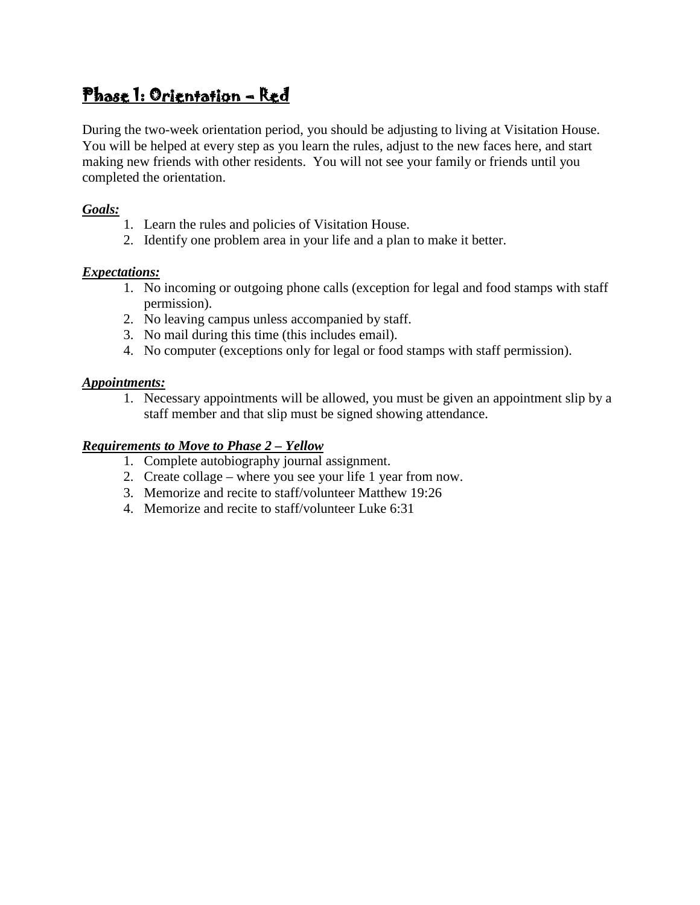# Phase 1: Orientation – Red

During the two-week orientation period, you should be adjusting to living at Visitation House. You will be helped at every step as you learn the rules, adjust to the new faces here, and start making new friends with other residents. You will not see your family or friends until you completed the orientation.

## *Goals:*

- 1. Learn the rules and policies of Visitation House.
- 2. Identify one problem area in your life and a plan to make it better.

# *Expectations:*

- 1. No incoming or outgoing phone calls (exception for legal and food stamps with staff permission).
- 2. No leaving campus unless accompanied by staff.
- 3. No mail during this time (this includes email).
- 4. No computer (exceptions only for legal or food stamps with staff permission).

# *Appointments:*

1. Necessary appointments will be allowed, you must be given an appointment slip by a staff member and that slip must be signed showing attendance.

## *Requirements to Move to Phase 2 – Yellow*

- 1. Complete autobiography journal assignment.
- 2. Create collage where you see your life 1 year from now.
- 3. Memorize and recite to staff/volunteer Matthew 19:26
- 4. Memorize and recite to staff/volunteer Luke 6:31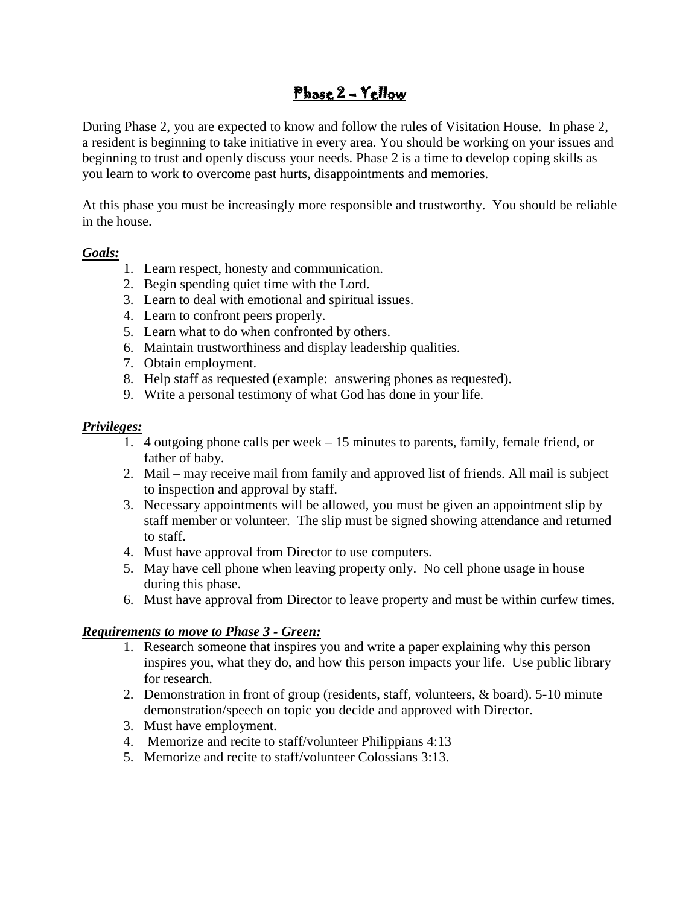# Phase 2 – Yellow

During Phase 2, you are expected to know and follow the rules of Visitation House. In phase 2, a resident is beginning to take initiative in every area. You should be working on your issues and beginning to trust and openly discuss your needs. Phase 2 is a time to develop coping skills as you learn to work to overcome past hurts, disappointments and memories.

At this phase you must be increasingly more responsible and trustworthy. You should be reliable in the house.

#### *Goals:*

- 1. Learn respect, honesty and communication.
- 2. Begin spending quiet time with the Lord.
- 3. Learn to deal with emotional and spiritual issues.
- 4. Learn to confront peers properly.
- 5. Learn what to do when confronted by others.
- 6. Maintain trustworthiness and display leadership qualities.
- 7. Obtain employment.
- 8. Help staff as requested (example: answering phones as requested).
- 9. Write a personal testimony of what God has done in your life.

#### *Privileges:*

- 1. 4 outgoing phone calls per week 15 minutes to parents, family, female friend, or father of baby.
- 2. Mail may receive mail from family and approved list of friends. All mail is subject to inspection and approval by staff.
- 3. Necessary appointments will be allowed, you must be given an appointment slip by staff member or volunteer. The slip must be signed showing attendance and returned to staff.
- 4. Must have approval from Director to use computers.
- 5. May have cell phone when leaving property only. No cell phone usage in house during this phase.
- 6. Must have approval from Director to leave property and must be within curfew times.

### *Requirements to move to Phase 3 - Green:*

- 1. Research someone that inspires you and write a paper explaining why this person inspires you, what they do, and how this person impacts your life. Use public library for research.
- 2. Demonstration in front of group (residents, staff, volunteers, & board). 5-10 minute demonstration/speech on topic you decide and approved with Director.
- 3. Must have employment.
- 4. Memorize and recite to staff/volunteer Philippians 4:13
- 5. Memorize and recite to staff/volunteer Colossians 3:13.